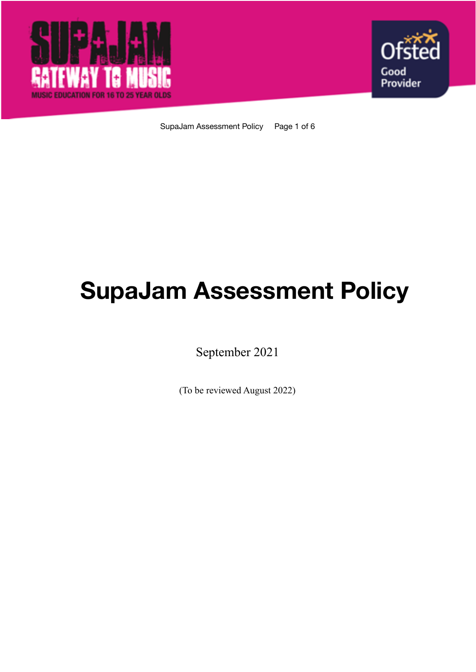



SupaJam Assessment Policy Page 1 of 6

# **SupaJam Assessment Policy**

September 2021

(To be reviewed August 2022)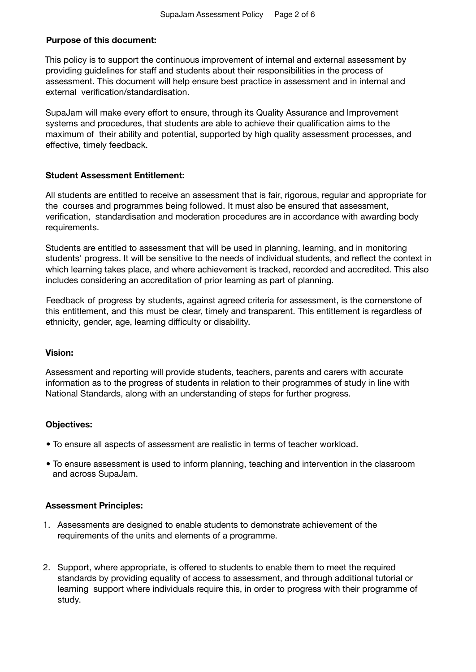## **Purpose of this document:**

This policy is to support the continuous improvement of internal and external assessment by providing guidelines for staff and students about their responsibilities in the process of assessment. This document will help ensure best practice in assessment and in internal and external verification/standardisation.

SupaJam will make every effort to ensure, through its Quality Assurance and Improvement systems and procedures, that students are able to achieve their qualification aims to the maximum of their ability and potential, supported by high quality assessment processes, and effective, timely feedback.

### **Student Assessment Entitlement:**

All students are entitled to receive an assessment that is fair, rigorous, regular and appropriate for the courses and programmes being followed. It must also be ensured that assessment, verification, standardisation and moderation procedures are in accordance with awarding body requirements.

Students are entitled to assessment that will be used in planning, learning, and in monitoring students' progress. It will be sensitive to the needs of individual students, and reflect the context in which learning takes place, and where achievement is tracked, recorded and accredited. This also includes considering an accreditation of prior learning as part of planning.

Feedback of progress by students, against agreed criteria for assessment, is the cornerstone of this entitlement, and this must be clear, timely and transparent. This entitlement is regardless of ethnicity, gender, age, learning difficulty or disability.

#### **Vision:**

Assessment and reporting will provide students, teachers, parents and carers with accurate information as to the progress of students in relation to their programmes of study in line with National Standards, along with an understanding of steps for further progress.

## **Objectives:**

- To ensure all aspects of assessment are realistic in terms of teacher workload.
- To ensure assessment is used to inform planning, teaching and intervention in the classroom and across SupaJam.

#### **Assessment Principles:**

- 1. Assessments are designed to enable students to demonstrate achievement of the requirements of the units and elements of a programme.
- 2. Support, where appropriate, is offered to students to enable them to meet the required standards by providing equality of access to assessment, and through additional tutorial or learning support where individuals require this, in order to progress with their programme of study.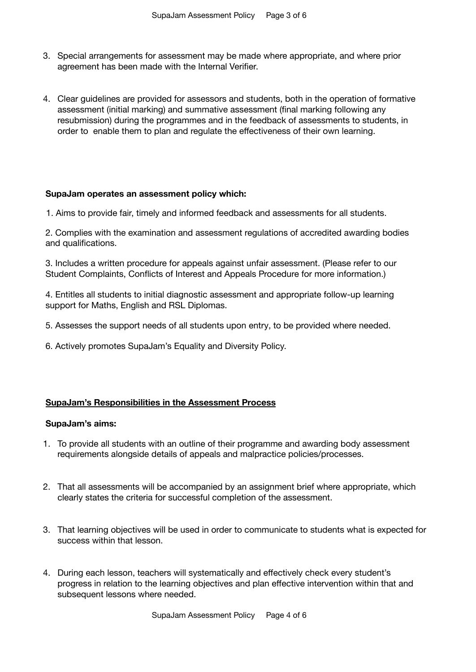- 3. Special arrangements for assessment may be made where appropriate, and where prior agreement has been made with the Internal Verifier.
- 4. Clear guidelines are provided for assessors and students, both in the operation of formative assessment (initial marking) and summative assessment (final marking following any resubmission) during the programmes and in the feedback of assessments to students, in order to enable them to plan and regulate the effectiveness of their own learning.

#### **SupaJam operates an assessment policy which:**

1. Aims to provide fair, timely and informed feedback and assessments for all students.

2. Complies with the examination and assessment regulations of accredited awarding bodies and qualifications.

3. Includes a written procedure for appeals against unfair assessment. (Please refer to our Student Complaints, Conflicts of Interest and Appeals Procedure for more information.)

4. Entitles all students to initial diagnostic assessment and appropriate follow-up learning support for Maths, English and RSL Diplomas.

- 5. Assesses the support needs of all students upon entry, to be provided where needed.
- 6. Actively promotes SupaJam's Equality and Diversity Policy.

#### **SupaJam's Responsibilities in the Assessment Process**

#### **SupaJam's aims:**

- 1. To provide all students with an outline of their programme and awarding body assessment requirements alongside details of appeals and malpractice policies/processes.
- 2. That all assessments will be accompanied by an assignment brief where appropriate, which clearly states the criteria for successful completion of the assessment.
- 3. That learning objectives will be used in order to communicate to students what is expected for success within that lesson.
- 4. During each lesson, teachers will systematically and effectively check every student's progress in relation to the learning objectives and plan effective intervention within that and subsequent lessons where needed.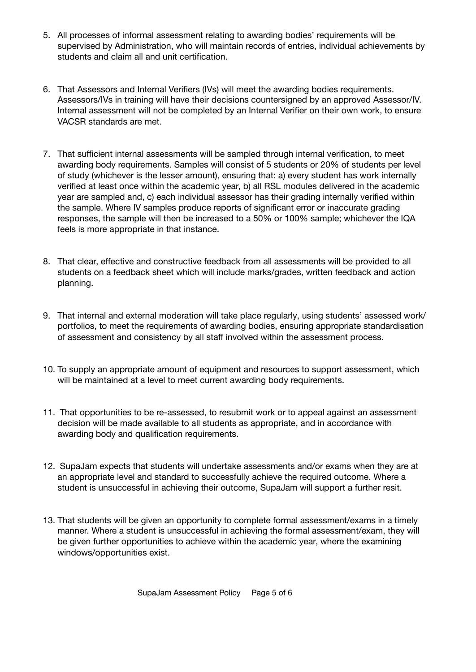- 5. All processes of informal assessment relating to awarding bodies' requirements will be supervised by Administration, who will maintain records of entries, individual achievements by students and claim all and unit certification.
- 6. That Assessors and Internal Verifiers (IVs) will meet the awarding bodies requirements. Assessors/IVs in training will have their decisions countersigned by an approved Assessor/IV. Internal assessment will not be completed by an Internal Verifier on their own work, to ensure VACSR standards are met.
- 7. That sufficient internal assessments will be sampled through internal verification, to meet awarding body requirements. Samples will consist of 5 students or 20% of students per level of study (whichever is the lesser amount), ensuring that: a) every student has work internally verified at least once within the academic year, b) all RSL modules delivered in the academic year are sampled and, c) each individual assessor has their grading internally verified within the sample. Where IV samples produce reports of significant error or inaccurate grading responses, the sample will then be increased to a 50% or 100% sample; whichever the IQA feels is more appropriate in that instance.
- 8. That clear, effective and constructive feedback from all assessments will be provided to all students on a feedback sheet which will include marks/grades, written feedback and action planning.
- 9. That internal and external moderation will take place regularly, using students' assessed work/ portfolios, to meet the requirements of awarding bodies, ensuring appropriate standardisation of assessment and consistency by all staff involved within the assessment process.
- 10. To supply an appropriate amount of equipment and resources to support assessment, which will be maintained at a level to meet current awarding body requirements.
- 11. That opportunities to be re-assessed, to resubmit work or to appeal against an assessment decision will be made available to all students as appropriate, and in accordance with awarding body and qualification requirements.
- 12. SupaJam expects that students will undertake assessments and/or exams when they are at an appropriate level and standard to successfully achieve the required outcome. Where a student is unsuccessful in achieving their outcome, SupaJam will support a further resit.
- 13. That students will be given an opportunity to complete formal assessment/exams in a timely manner. Where a student is unsuccessful in achieving the formal assessment/exam, they will be given further opportunities to achieve within the academic year, where the examining windows/opportunities exist.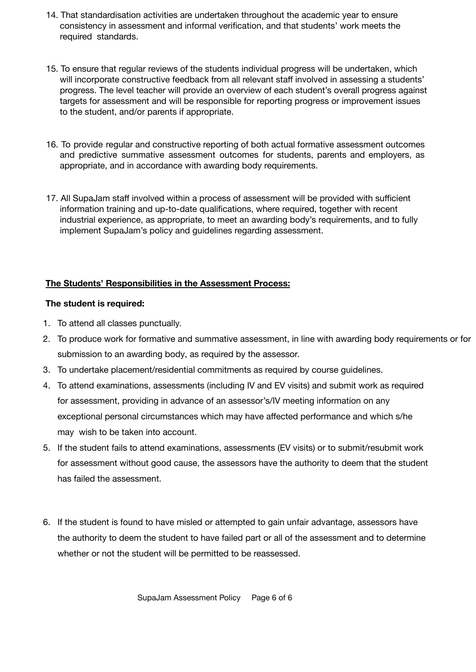- 14. That standardisation activities are undertaken throughout the academic year to ensure consistency in assessment and informal verification, and that students' work meets the required standards.
- 15. To ensure that regular reviews of the students individual progress will be undertaken, which will incorporate constructive feedback from all relevant staff involved in assessing a students' progress. The level teacher will provide an overview of each student's overall progress against targets for assessment and will be responsible for reporting progress or improvement issues to the student, and/or parents if appropriate.
- 16. To provide regular and constructive reporting of both actual formative assessment outcomes and predictive summative assessment outcomes for students, parents and employers, as appropriate, and in accordance with awarding body requirements.
- 17. All SupaJam staff involved within a process of assessment will be provided with sufficient information training and up-to-date qualifications, where required, together with recent industrial experience, as appropriate, to meet an awarding body's requirements, and to fully implement SupaJam's policy and guidelines regarding assessment.

## **The Students' Responsibilities in the Assessment Process:**

## **The student is required:**

- 1. To attend all classes punctually.
- 2. To produce work for formative and summative assessment, in line with awarding body requirements or for submission to an awarding body, as required by the assessor.
- 3. To undertake placement/residential commitments as required by course guidelines.
- 4. To attend examinations, assessments (including IV and EV visits) and submit work as required for assessment, providing in advance of an assessor's/IV meeting information on any exceptional personal circumstances which may have affected performance and which s/he may wish to be taken into account.
- 5. If the student fails to attend examinations, assessments (EV visits) or to submit/resubmit work for assessment without good cause, the assessors have the authority to deem that the student has failed the assessment.
- 6. If the student is found to have misled or attempted to gain unfair advantage, assessors have the authority to deem the student to have failed part or all of the assessment and to determine whether or not the student will be permitted to be reassessed.